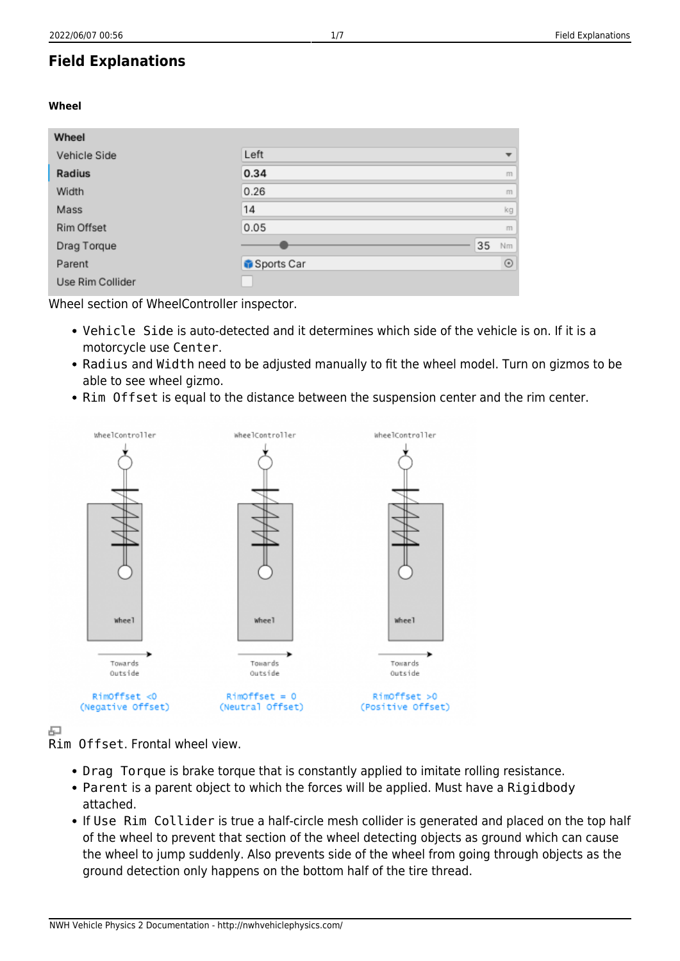# **Field Explanations**

# **Wheel**

| Wheel            |            |    |                          |
|------------------|------------|----|--------------------------|
| Vehicle Side     | Left       |    | $\overline{\phantom{a}}$ |
| Radius           | 0.34       |    | m                        |
| Width            | 0.26       |    | m                        |
| Mass             | 14         |    | kg                       |
| Rim Offset       | 0.05       |    | m                        |
| Drag Torque      |            | 35 | Nm                       |
| Parent           | Sports Car |    | $\odot$                  |
| Use Rim Collider |            |    |                          |

Wheel section of WheelController inspector.

- Vehicle Side is auto-detected and it determines which side of the vehicle is on. If it is a motorcycle use Center.
- Radius and Width need to be adjusted manually to fit the wheel model. Turn on gizmos to be able to see wheel gizmo.
- Rim Offset is equal to the distance between the suspension center and the rim center.



中

Rim Offset. Frontal wheel view.

- Drag Torque is brake torque that is constantly applied to imitate rolling resistance.
- Parent is a parent object to which the forces will be applied. Must have a Rigidbody attached.
- If Use Rim Collider is true a half-circle mesh collider is generated and placed on the top half of the wheel to prevent that section of the wheel detecting objects as ground which can cause the wheel to jump suddenly. Also prevents side of the wheel from going through objects as the ground detection only happens on the bottom half of the tire thread.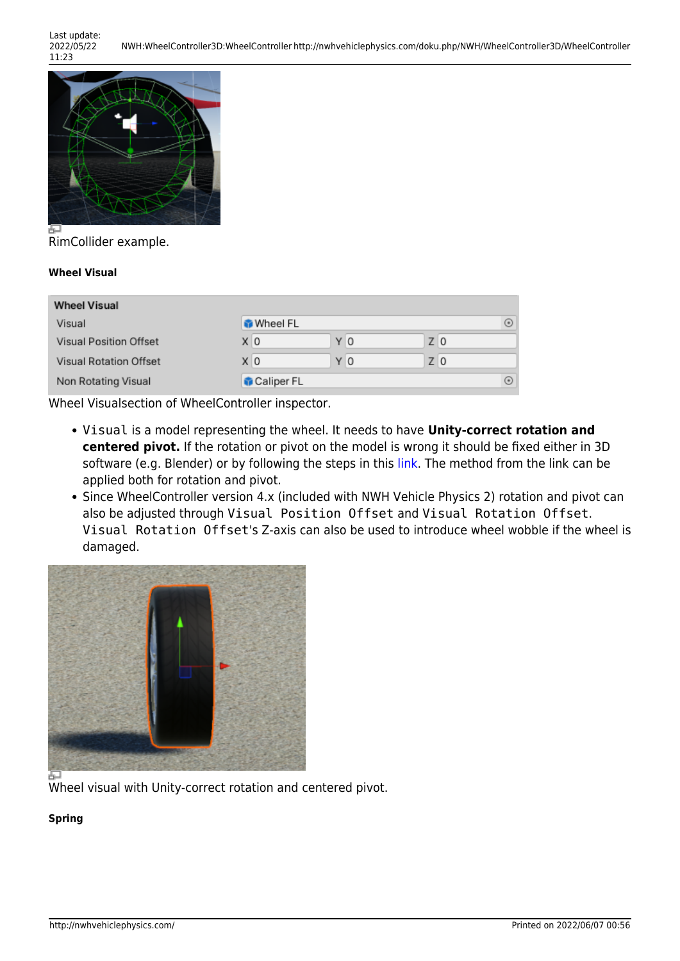Last update: 2022/05/22 11:23



RimCollider example.

# **Wheel Visual**

| <b>Wheel Visual</b>           |                  |     |       |   |
|-------------------------------|------------------|-----|-------|---|
| Visual                        | <b>M</b> heel FL |     |       | ⊙ |
| <b>Visual Position Offset</b> | ΧO               | Y 0 | $Z$ 0 |   |
| <b>Visual Rotation Offset</b> | X O              | Y O | $Z$ 0 |   |
| Non Rotating Visual           | Caliper FL       |     |       | ⊙ |

Wheel Visualsection of WheelController inspector.

- Visual is a model representing the wheel. It needs to have **Unity-correct rotation and centered pivot.** If the rotation or pivot on the model is wrong it should be fixed either in 3D software (e.g. Blender) or by following the steps in this [link.](https://docs.unity3d.com/Manual/HOWTO-FixZAxisIsUp.html) The method from the link can be applied both for rotation and pivot.
- Since WheelController version 4.x (included with NWH Vehicle Physics 2) rotation and pivot can also be adjusted through Visual Position Offset and Visual Rotation Offset. Visual Rotation Offset's Z-axis can also be used to introduce wheel wobble if the wheel is damaged.



Wheel visual with Unity-correct rotation and centered pivot.

# **Spring**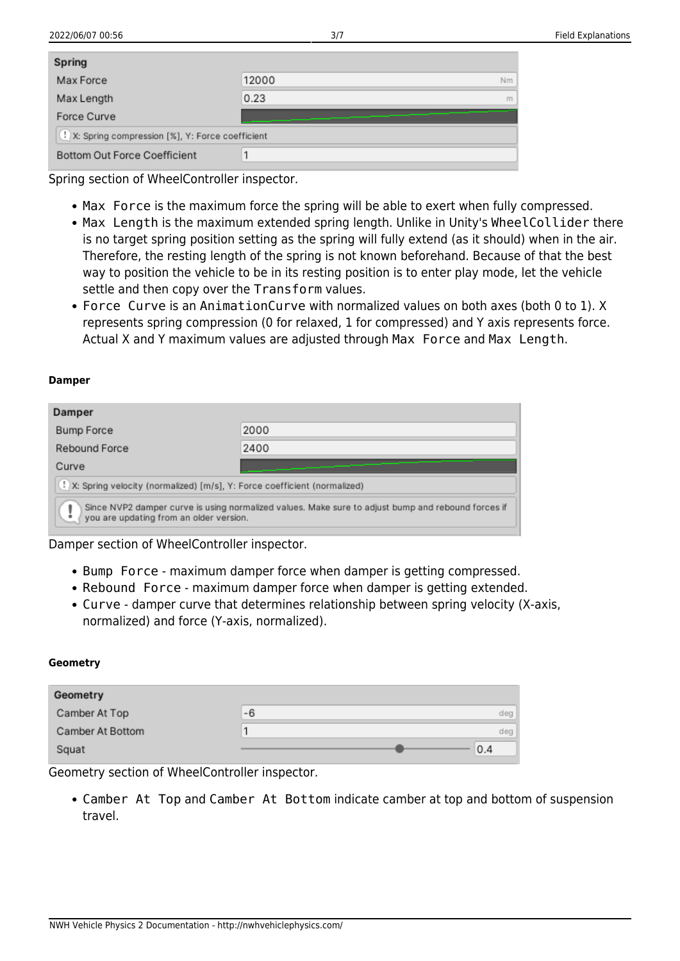| Spring                                              |       |    |
|-----------------------------------------------------|-------|----|
| Max Force                                           | 12000 | Nm |
| Max Length                                          | 0.23  | m  |
| Force Curve                                         |       |    |
| (!) X: Spring compression [%], Y: Force coefficient |       |    |
| Bottom Out Force Coefficient                        |       |    |

Spring section of WheelController inspector.

- Max Force is the maximum force the spring will be able to exert when fully compressed.
- Max Length is the maximum extended spring length. Unlike in Unity's WheelCollider there is no target spring position setting as the spring will fully extend (as it should) when in the air. Therefore, the resting length of the spring is not known beforehand. Because of that the best way to position the vehicle to be in its resting position is to enter play mode, let the vehicle settle and then copy over the Transform values.
- Force Curve is an AnimationCurve with normalized values on both axes (both 0 to 1). X represents spring compression (0 for relaxed, 1 for compressed) and Y axis represents force. Actual X and Y maximum values are adjusted through Max Force and Max Length.

#### **Damper**

| Damper                                                                                                                                        |      |  |
|-----------------------------------------------------------------------------------------------------------------------------------------------|------|--|
| <b>Bump Force</b>                                                                                                                             | 2000 |  |
| Rebound Force                                                                                                                                 | 2400 |  |
| Curve                                                                                                                                         |      |  |
| (!) X: Spring velocity (normalized) [m/s], Y: Force coefficient (normalized)                                                                  |      |  |
| Since NVP2 damper curve is using normalized values. Make sure to adjust bump and rebound forces if<br>you are updating from an older version. |      |  |

Damper section of WheelController inspector.

- Bump Force maximum damper force when damper is getting compressed.
- Rebound Force maximum damper force when damper is getting extended.
- Curve damper curve that determines relationship between spring velocity (X-axis, normalized) and force (Y-axis, normalized).

#### **Geometry**

| Geometry         |    |     |
|------------------|----|-----|
| Camber At Top    | -6 | deg |
| Camber At Bottom |    | deg |
| Squat            |    | 0.4 |

Geometry section of WheelController inspector.

Camber At Top and Camber At Bottom indicate camber at top and bottom of suspension travel.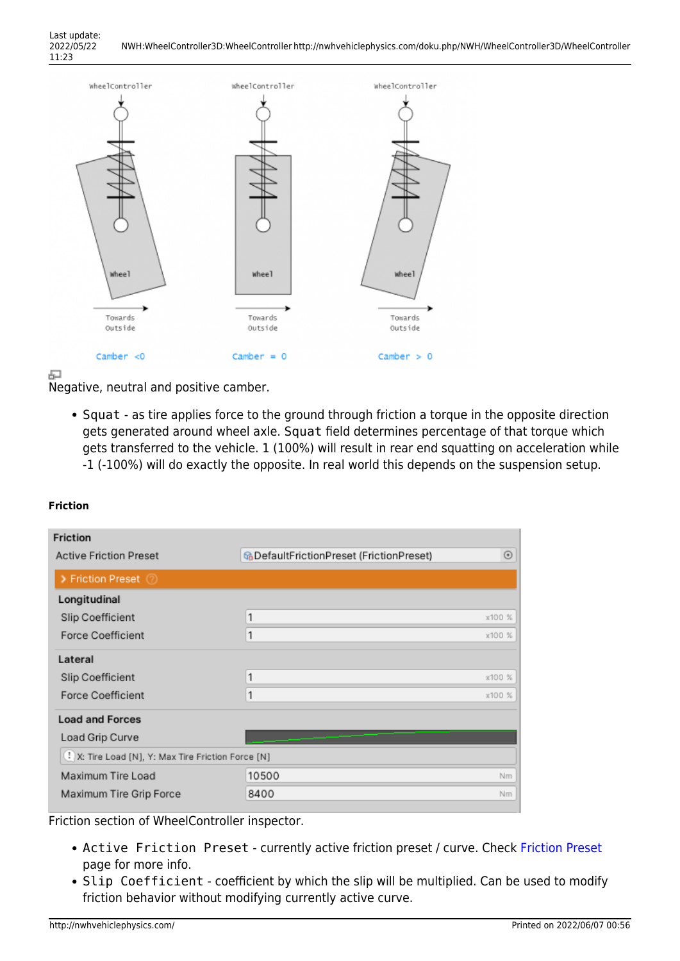

中

Negative, neutral and positive camber.

• Squat - as tire applies force to the ground through friction a torque in the opposite direction gets generated around wheel axle. Squat field determines percentage of that torque which gets transferred to the vehicle. 1 (100%) will result in rear end squatting on acceleration while -1 (-100%) will do exactly the opposite. In real world this depends on the suspension setup.

# **Friction**

| <b>Friction</b>                                     |                                                 |            |
|-----------------------------------------------------|-------------------------------------------------|------------|
| <b>Active Friction Preset</b>                       | <b>G</b> DefaultFrictionPreset (FrictionPreset) | $_{\odot}$ |
| > Friction Preset 2                                 |                                                 |            |
| Longitudinal                                        |                                                 |            |
| Slip Coefficient                                    | 1                                               | x100 %     |
| <b>Force Coefficient</b>                            | 1                                               | x100 %     |
| Lateral                                             |                                                 |            |
| Slip Coefficient                                    | 1                                               | x100 %     |
| <b>Force Coefficient</b>                            | 1                                               | x100 %     |
| <b>Load and Forces</b>                              |                                                 |            |
| Load Grip Curve                                     |                                                 |            |
| I. X: Tire Load [N], Y: Max Tire Friction Force [N] |                                                 |            |
| Maximum Tire Load                                   | 10500                                           | Nm         |
| Maximum Tire Grip Force                             | 8400                                            | Nm         |

Friction section of WheelController inspector.

- Active [Friction Preset](http://nwhvehiclephysics.com/doku.php/NWH/WheelController3D/FrictionPreset) currently active friction preset / curve. Check Friction Preset page for more info.
- Slip Coefficient coefficient by which the slip will be multiplied. Can be used to modify friction behavior without modifying currently active curve.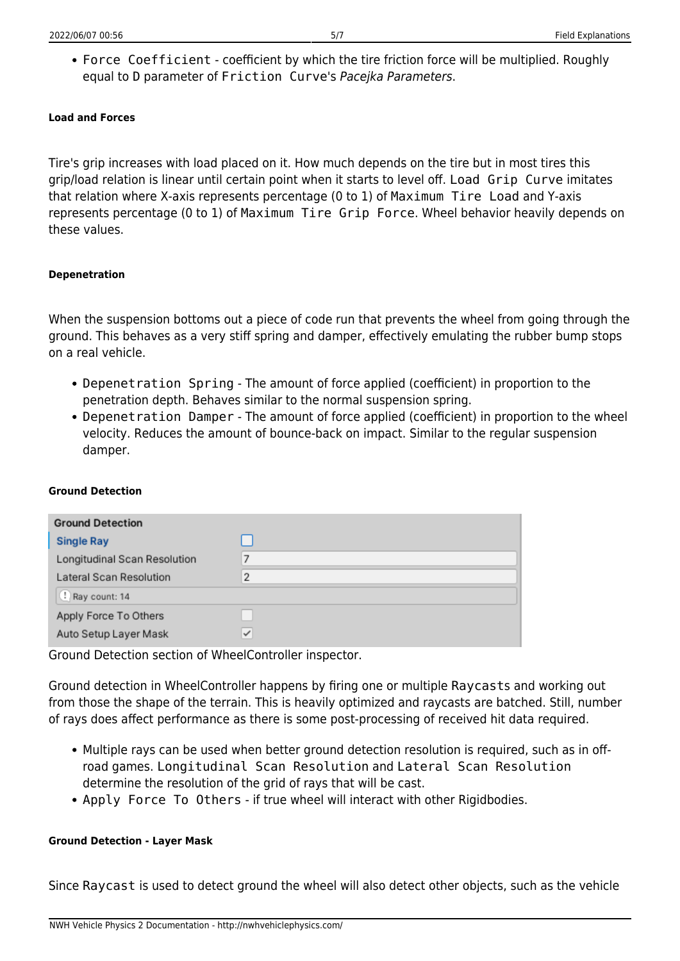Force Coefficient - coefficient by which the tire friction force will be multiplied. Roughly equal to D parameter of Friction Curve's Pacejka Parameters.

# **Load and Forces**

Tire's grip increases with load placed on it. How much depends on the tire but in most tires this grip/load relation is linear until certain point when it starts to level off. Load Grip Curve imitates that relation where X-axis represents percentage (0 to 1) of Maximum Tire Load and Y-axis represents percentage (0 to 1) of Maximum Tire Grip Force. Wheel behavior heavily depends on these values.

# **Depenetration**

When the suspension bottoms out a piece of code run that prevents the wheel from going through the ground. This behaves as a very stiff spring and damper, effectively emulating the rubber bump stops on a real vehicle.

- Depenetration Spring The amount of force applied (coefficient) in proportion to the penetration depth. Behaves similar to the normal suspension spring.
- Depenetration Damper The amount of force applied (coefficient) in proportion to the wheel velocity. Reduces the amount of bounce-back on impact. Similar to the regular suspension damper.

# **Ground Detection**

| <b>Ground Detection</b>      |                |
|------------------------------|----------------|
| <b>Single Ray</b>            |                |
| Longitudinal Scan Resolution | 7              |
| Lateral Scan Resolution      | $\overline{2}$ |
| Ray count: 14                |                |
| Apply Force To Others        |                |
| Auto Setup Layer Mask        | $\checkmark$   |

Ground Detection section of WheelController inspector.

Ground detection in WheelController happens by firing one or multiple Raycasts and working out from those the shape of the terrain. This is heavily optimized and raycasts are batched. Still, number of rays does affect performance as there is some post-processing of received hit data required.

- Multiple rays can be used when better ground detection resolution is required, such as in offroad games. Longitudinal Scan Resolution and Lateral Scan Resolution determine the resolution of the grid of rays that will be cast.
- Apply Force To Others if true wheel will interact with other Rigidbodies.

### **Ground Detection - Layer Mask**

Since Raycast is used to detect ground the wheel will also detect other objects, such as the vehicle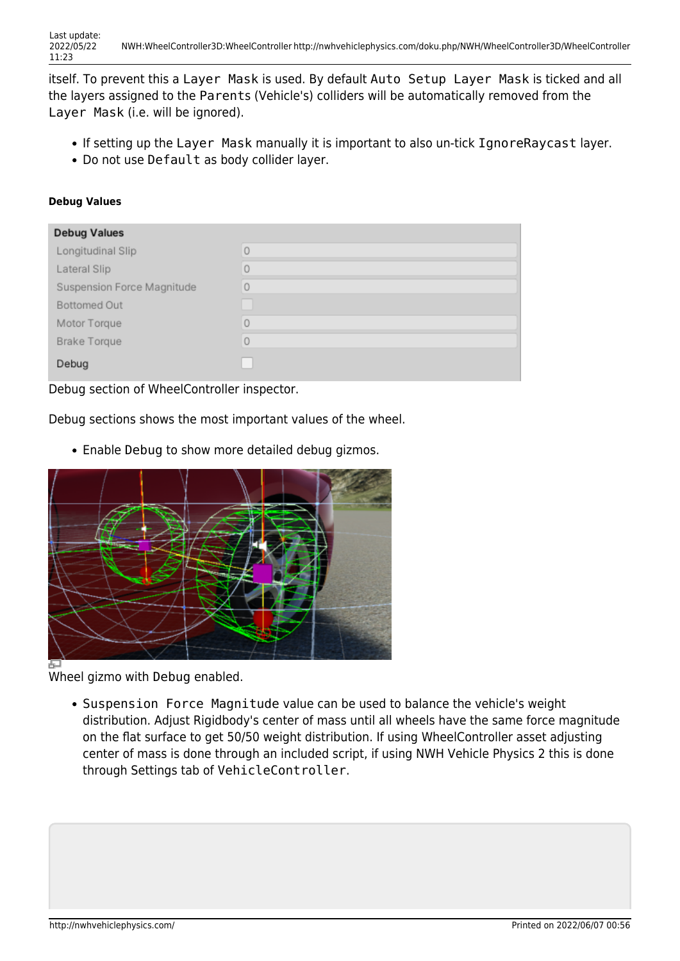itself. To prevent this a Layer Mask is used. By default Auto Setup Layer Mask is ticked and all the layers assigned to the Parents (Vehicle's) colliders will be automatically removed from the Layer Mask (i.e. will be ignored).

- If setting up the Layer Mask manually it is important to also un-tick IgnoreRaycast layer.
- Do not use Default as body collider layer.

### **Debug Values**

| <b>Debug Values</b>        |         |
|----------------------------|---------|
| Longitudinal Slip          | $\circ$ |
| Lateral Slip               | $\circ$ |
| Suspension Force Magnitude | 0       |
| <b>Bottomed Out</b>        |         |
| Motor Torque               | $\circ$ |
| <b>Brake Torque</b>        | 0       |
| Debug                      |         |

Debug section of WheelController inspector.

Debug sections shows the most important values of the wheel.

Enable Debug to show more detailed debug gizmos.



Wheel gizmo with Debug enabled.

• Suspension Force Magnitude value can be used to balance the vehicle's weight distribution. Adjust Rigidbody's center of mass until all wheels have the same force magnitude on the flat surface to get 50/50 weight distribution. If using WheelController asset adjusting center of mass is done through an included script, if using NWH Vehicle Physics 2 this is done through Settings tab of VehicleController.